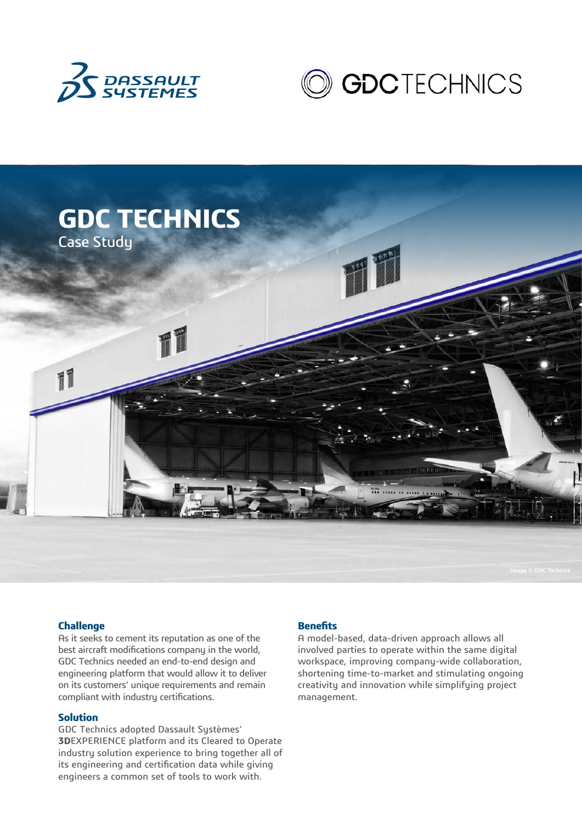





### **Challenge**

As it seeks to cement its reputation as one of the best aircraft modifications company in the world, GDC Technics needed an end-to-end design and engineering platform that would allow it to deliver on its customers' unique requirements and remain compliant with industry certifications.

### **Solution**

GDC Technics adopted Dassault Systèmes' **3D**EXPERIENCE platform and its Cleared to Operate industry solution experience to bring together all of its engineering and certification data while giving engineers a common set of tools to work with.

#### **Benefits**

A model-based, data-driven approach allows all involved parties to operate within the same digital workspace, improving company-wide collaboration, shortening time-to-market and stimulating ongoing creativity and innovation while simplifying project management.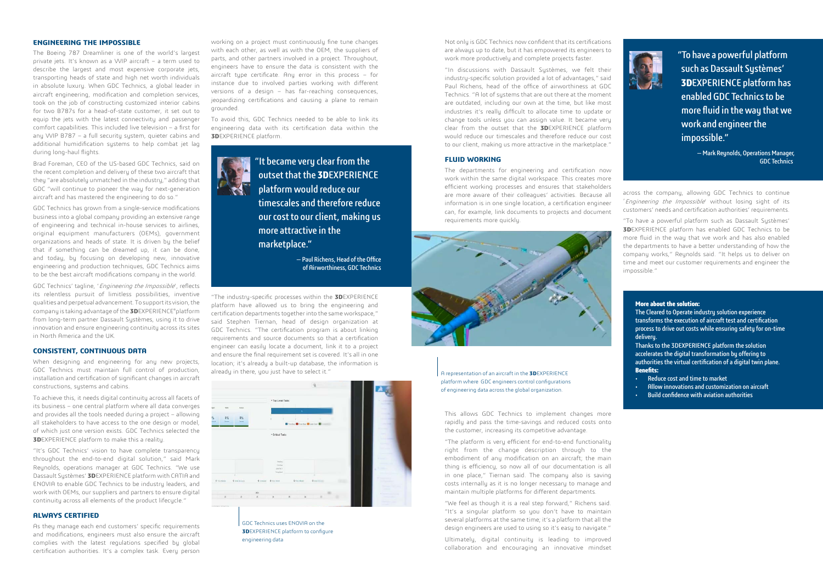#### **ENGINEERING THE IMPOSSIBLE**

The Boeing 787 Dreamliner is one of the world's largest private jets. It's known as a VVIP aircraft – a term used to describe the largest and most expensive corporate jets, transporting heads of state and high net worth individuals in absolute luxury. When GDC Technics, a global leader in aircraft engineering, modification and completion services, took on the job of constructing customized interior cabins for two B787s for a head-of-state customer, it set out to equip the jets with the latest connectivity and passenger comfort capabilities. This included live television – a first for any VVIP B787 – a full security system, quieter cabins and additional humidification sustems to help combat jet lag during long-haul flights.

Brad Foreman, CEO of the US-based GDC Technics, said on the recent completion and delivery of these two aircraft that they "are absolutely unmatched in the industry," adding that GDC "will continue to pioneer the way for next-generation aircraft and has mastered the engineering to do so."

"It's GDC Technics' vision to have complete transparency throughout the end-to-end digital solution," said Mark Reynolds, operations manager at GDC Technics. "We use Dassault Sustèmes' **3D**EXPERIENCE platform with CATIA and ENOVIA to enable GDC Technics to be industry leaders, and work with OEMs, our suppliers and partners to ensure digital continuity across all elements of the product lifecycle."

GDC Technics has grown from a single-service modifications business into a global company providing an extensive range of engineering and technical in-house services to airlines, original equipment manufacturers (OEMs), government organizations and heads of state. It is driven by the belief that if something can be dreamed up, it can be done, and today, by focusing on developing new, innovative engineering and production techniques, GDC Technics aims to be the best aircraft modifications company in the world.

GDC Technics' tagline, 'Engineering the Impossible', reflects its relentless pursuit of limitless possibilities, inventive qualities and perpetual advancement. To support its vision, the company is taking advantage of the **3D**EXPERIENCE®platform from long-term partner Dassault Systèmes, using it to drive innovation and ensure engineering continuity across its sites in North America and the UK.

## **CONSISTENT, CONTINUOUS DATA**

When designing and engineering for any new projects, GDC Technics must maintain full control of production, installation and certification of significant changes in aircraft constructions, systems and cabins.

To achieve this, it needs digital continuity across all facets of its business – one central platform where all data converges and provides all the tools needed during a project – allowing all stakeholders to have access to the one design or model. of which just one version exists. GDC Technics selected the **3D**EXPERIENCE platform to make this a reality.

#### **ALWAYS CERTIFIED**

As they manage each end customers' specific requirements and modifications, engineers must also ensure the aircraft complies with the latest regulations specified by global certification authorities. It's a complex task. Every person

working on a project must continuously fine tune changes with each other, as well as with the OEM, the suppliers of parts, and other partners involved in a project. Throughout, engineers have to ensure the data is consistent with the aircraft type certificate. Any error in this process – for instance due to involved parties working with different versions of a design – has far-reaching consequences, jeopardizing certifications and causing a plane to remain grounded.

To avoid this, GDC Technics needed to be able to link its engineering data with its certification data within the **3D**EXPERIENCE platform.



The Cleared to Operate industry solution experience transforms the execution of aircraft test and certification process to drive out costs while ensuring safety for on-time deliveru.

"The industry-specific processes within the **3D**EXPERIENCE platform have allowed us to bring the engineering and certification departments together into the same workspace," said Stephen Tiernan, head of design organization at GDC Technics. "The certification program is about linking requirements and source documents so that a certification engineer can easily locate a document, link it to a project and ensure the final requirement set is covered. It's all in one location; it's already a built-up database, the information is already in there, you just have to select it."

"It became very clear from the outset that the **3D**EXPERIENCE platform would reduce our timescales and therefore reduce our cost to our client, making us more attractive in the marketplace."

> — Paul Richens, Head of the Office of Airworthiness, GDC Technics

"To have a powerful platform such as Dassault Systèmes' **3D**EXPERIENCE platform has enabled GDC Technics to be more fluid in the way that we work and engineer the impossible."

> — Mark Reynolds, Operations Manager, GDC Technics



A representation of an aircraft in the **3D**EXPERIENCE platform where GDC engineers control configurations of engineering data across the global organization.

Not only is GDC Technics now confident that its certifications are always up to date, but it has empowered its engineers to work more productively and complete projects faster.

"In discussions with Dassault Systèmes, we felt their industry-specific solution provided a lot of advantages," said Paul Richens, head of the office of airworthiness at GDC Technics. "A lot of systems that are out there at the moment are outdated, including our own at the time, but like most industries it's really difficult to allocate time to update or change tools unless you can assign value. It became very clear from the outset that the **3D**EXPERIENCE platform would reduce our timescales and therefore reduce our cost to our client, making us more attractive in the marketplace."

#### **FLUID WORKING**

The departments for engineering and certification now work within the same digital workspace. This creates more efficient working processes and ensures that stakeholders are more aware of their colleagues' activities. Because all information is in one single location, a certification engineer can, for example, link documents to projects and document requirements more quickly.



This allows GDC Technics to implement changes more rapidly and pass the time-savings and reduced costs onto the customer, increasing its competitive advantage.

"The platform is very efficient for end-to-end functionality right from the change description through to the embodiment of any modification on an aircraft; the main thing is efficiency, so now all of our documentation is all in one place," Tiernan said. The company also is saving costs internally as it is no longer necessary to manage and maintain multiple platforms for different departments.

"We feel as though it is a real step forward," Richens said. "It's a singular platform so you don't have to maintain several platforms at the same time; it's a platform that all the design engineers are used to using so it's easy to navigate."

Ultimately, digital continuity is leading to improved collaboration and encouraging an innovative mindset



across the company, allowing GDC Technics to continue 'Engineering the Impossible' without losing sight of its customers' needs and certification authorities' requirements.

"To have a powerful platform such as Dassault Systèmes' **3D**EXPERIENCE platform has enabled GDC Technics to be more fluid in the way that we work and has also enabled the departments to have a better understanding of how the company works," Reynolds said. "It helps us to deliver on time and meet our customer requirements and engineer the impossible."

## **More about the solution:**

Thanks to the 3DEXPERIENCE platform the solution accelerates the digital transformation by offering to authorities the virtual certification of a digital twin plane. **Benefits:**

- Reduce cost and time to market
- Allow innovations and customization on aircraft
- Build confidence with aviation authorities